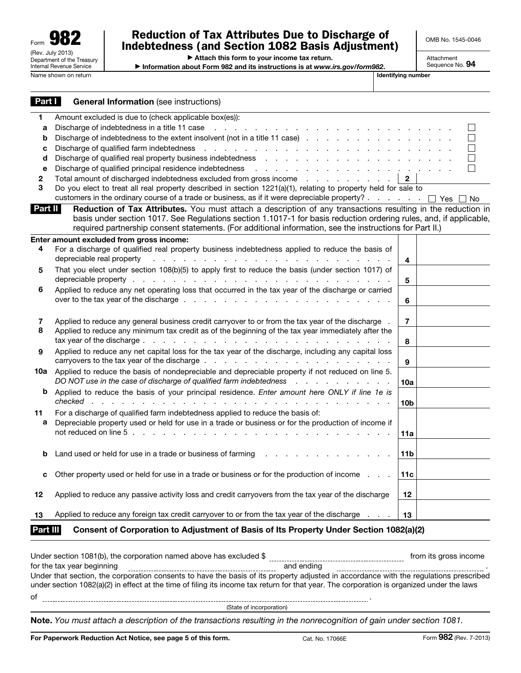## Reduction of Tax Attributes Due to Discharge of Indebtedness (and Section 1082 Basis Adjustment)

OMB No. 1545-0046

Attachment Sequence No. 94

▶ Attach this form to your income tax return.

▶ Information about Form 982 and its instructions is at *www.irs.gov/form982*.

| Part I       | <b>General Information (see instructions)</b>                                                                                                                                                                                                                                                                                                  |                 |                |
|--------------|------------------------------------------------------------------------------------------------------------------------------------------------------------------------------------------------------------------------------------------------------------------------------------------------------------------------------------------------|-----------------|----------------|
| 1            | Amount excluded is due to (check applicable box(es)):                                                                                                                                                                                                                                                                                          |                 |                |
| а            | Discharge of indebtedness in a title 11 case reader and contact the contact of the contact of the contact of the contact of the contact of the contact of the contact of the contact of the contact of the contact of the cont                                                                                                                 |                 | $\blacksquare$ |
| b            | Discharge of indebtedness to the extent insolvent (not in a title 11 case)                                                                                                                                                                                                                                                                     |                 | $\sim$         |
| с            | Discharge of qualified farm indebtedness response to the contract of the contract of the Discharge of qualified farm indebtedness response to the contract of the contract of the contract of the contract of the contract of                                                                                                                  |                 | n.             |
| d            | Discharge of qualified real property business indebtedness real and contact the contact of qualified real property business indebtedness real and contact the contact of the contact of the contact of the contact of the cont                                                                                                                 |                 | П              |
| е            | Discharge of qualified principal residence indebtedness<br>the contract of the contract of the contract of the contract of                                                                                                                                                                                                                     |                 | H              |
| $\mathbf{2}$ | Total amount of discharged indebtedness excluded from gross income                                                                                                                                                                                                                                                                             | $\mathbf{2}$    |                |
| 3            | Do you elect to treat all real property described in section 1221(a)(1), relating to property held for sale to                                                                                                                                                                                                                                 |                 |                |
|              | customers in the ordinary course of a trade or business, as if it were depreciable property? DYes DNo                                                                                                                                                                                                                                          |                 |                |
| Part II      | Reduction of Tax Attributes. You must attach a description of any transactions resulting in the reduction in<br>basis under section 1017. See Regulations section 1.1017-1 for basis reduction ordering rules, and, if applicable,<br>required partnership consent statements. (For additional information, see the instructions for Part II.) |                 |                |
|              | Enter amount excluded from gross income:                                                                                                                                                                                                                                                                                                       |                 |                |
| 4            | For a discharge of qualified real property business indebtedness applied to reduce the basis of<br>depreciable real property                                                                                                                                                                                                                   | 4               |                |
| 5            | That you elect under section 108(b)(5) to apply first to reduce the basis (under section 1017) of                                                                                                                                                                                                                                              |                 |                |
|              |                                                                                                                                                                                                                                                                                                                                                | 5               |                |
| 6            | Applied to reduce any net operating loss that occurred in the tax year of the discharge or carried                                                                                                                                                                                                                                             | 6               |                |
|              |                                                                                                                                                                                                                                                                                                                                                |                 |                |
| 7            | Applied to reduce any general business credit carryover to or from the tax year of the discharge                                                                                                                                                                                                                                               | 7               |                |
| 8            | Applied to reduce any minimum tax credit as of the beginning of the tax year immediately after the                                                                                                                                                                                                                                             |                 |                |
|              | tax year of the discharge entering the set of the discharge of the discharge of the set of the set of the set of the set of the set of the set of the set of the set of the set of the set of the set of the set of the set of                                                                                                                 | 8               |                |
| 9            | Applied to reduce any net capital loss for the tax year of the discharge, including any capital loss                                                                                                                                                                                                                                           |                 |                |
|              |                                                                                                                                                                                                                                                                                                                                                | 9               |                |
| 10a          | Applied to reduce the basis of nondepreciable and depreciable property if not reduced on line 5.                                                                                                                                                                                                                                               |                 |                |
|              | DO NOT use in the case of discharge of qualified farm indebtedness response to the case of the case of discharge of qualified farm indebtedness response to the case of discharge of quality of the case of $\sim$ 0.                                                                                                                          | 10a             |                |
| b            | Applied to reduce the basis of your principal residence. Enter amount here ONLY if line 1e is                                                                                                                                                                                                                                                  |                 |                |
|              | checked<br>and the state of the state of the state of the                                                                                                                                                                                                                                                                                      | 10 <sub>b</sub> |                |
| 11           | For a discharge of qualified farm indebtedness applied to reduce the basis of:                                                                                                                                                                                                                                                                 |                 |                |
| a            | Depreciable property used or held for use in a trade or business or for the production of income if                                                                                                                                                                                                                                            |                 |                |
|              | <b>Contract</b>                                                                                                                                                                                                                                                                                                                                | 11a             |                |
|              |                                                                                                                                                                                                                                                                                                                                                |                 |                |
| b            | Land used or held for use in a trade or business of farming                                                                                                                                                                                                                                                                                    | 11 <sub>b</sub> |                |
|              | Other property used or held for use in a trade or business or for the production of income                                                                                                                                                                                                                                                     | 11c             |                |
| c            |                                                                                                                                                                                                                                                                                                                                                |                 |                |
| 12           | Applied to reduce any passive activity loss and credit carryovers from the tax year of the discharge                                                                                                                                                                                                                                           | 12 <sub>2</sub> |                |
|              |                                                                                                                                                                                                                                                                                                                                                |                 |                |
| 13           | Applied to reduce any foreign tax credit carryover to or from the tax year of the discharge                                                                                                                                                                                                                                                    | 13              |                |
| Part III     | Consent of Corporation to Adjustment of Basis of Its Property Under Section 1082(a)(2)                                                                                                                                                                                                                                                         |                 |                |

Under section 1081(b), the corporation named above has excluded \$ from its gross income for the tax year beginning and ending . Under that section, the corporation consents to have the basis of its property adjusted in accordance with the regulations prescribed under section 1082(a)(2) in effect at the time of filing its income tax return for that year. The corporation is organized under the laws of .

|  |  | (State of incorporation) |
|--|--|--------------------------|
|  |  |                          |

Note. *You must attach a description of the transactions resulting in the nonrecognition of gain under section 1081.*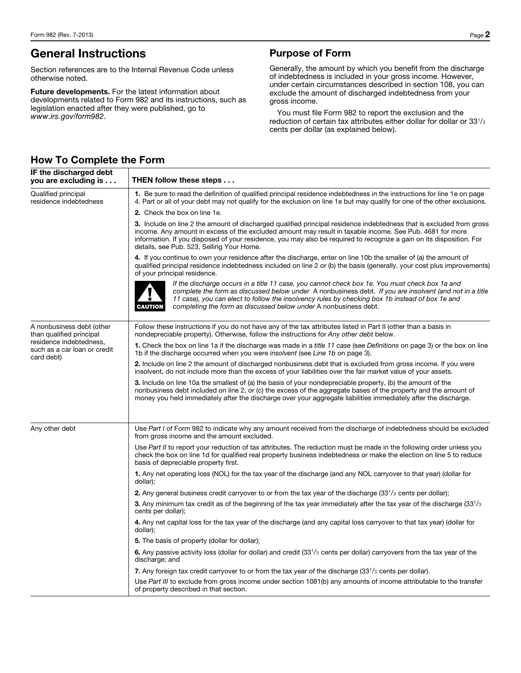# General Instructions

Section references are to the Internal Revenue Code unless otherwise noted.

Future developments. For the latest information about developments related to Form 982 and its instructions, such as legislation enacted after they were published, go to *www.irs.gov/form982*.

## Purpose of Form

Generally, the amount by which you benefit from the discharge of indebtedness is included in your gross income. However, under certain circumstances described in section 108, you can exclude the amount of discharged indebtedness from your gross income.

You must file Form 982 to report the exclusion and the reduction of certain tax attributes either dollar for dollar or 331/3 cents per dollar (as explained below).

| IF the discharged debt<br>you are excluding is                        | THEN follow these steps                                                                                                                                                                                                                                                                                                                                                                               |  |  |  |  |  |
|-----------------------------------------------------------------------|-------------------------------------------------------------------------------------------------------------------------------------------------------------------------------------------------------------------------------------------------------------------------------------------------------------------------------------------------------------------------------------------------------|--|--|--|--|--|
| Qualified principal<br>residence indebtedness                         | 1. Be sure to read the definition of qualified principal residence indebtedness in the instructions for line 1e on page<br>4. Part or all of your debt may not qualify for the exclusion on line 1e but may qualify for one of the other exclusions.                                                                                                                                                  |  |  |  |  |  |
|                                                                       | 2. Check the box on line 1e.                                                                                                                                                                                                                                                                                                                                                                          |  |  |  |  |  |
|                                                                       | 3. Include on line 2 the amount of discharged qualified principal residence indebtedness that is excluded from gross<br>income. Any amount in excess of the excluded amount may result in taxable income. See Pub. 4681 for more<br>information. If you disposed of your residence, you may also be required to recognize a gain on its disposition. For<br>details, see Pub. 523, Selling Your Home. |  |  |  |  |  |
|                                                                       | 4. If you continue to own your residence after the discharge, enter on line 10b the smaller of (a) the amount of<br>qualified principal residence indebtedness included on line 2 or (b) the basis (generally, your cost plus improvements)<br>of your principal residence.                                                                                                                           |  |  |  |  |  |
|                                                                       | If the discharge occurs in a title 11 case, you cannot check box 1e. You must check box 1a and<br>complete the form as discussed below under A nonbusiness debt. If you are insolvent (and not in a title<br>11 case), you can elect to follow the insolvency rules by checking box 1b instead of box 1e and<br>completing the form as discussed below under A nonbusiness debt.<br><b>CAUTION</b>    |  |  |  |  |  |
| A nonbusiness debt (other<br>than qualified principal                 | Follow these instructions if you do not have any of the tax attributes listed in Part II (other than a basis in<br>nondepreciable property). Otherwise, follow the instructions for Any other debt below.                                                                                                                                                                                             |  |  |  |  |  |
| residence indebtedness,<br>such as a car loan or credit<br>card debt) | 1. Check the box on line 1a if the discharge was made in a <i>title 11</i> case (see Definitions on page 3) or the box on line<br>1b if the discharge occurred when you were <i>insolvent</i> (see Line 1b on page 3).                                                                                                                                                                                |  |  |  |  |  |
|                                                                       | 2. Include on line 2 the amount of discharged nonbusiness debt that is excluded from gross income. If you were<br>insolvent, do not include more than the excess of your liabilities over the fair market value of your assets.                                                                                                                                                                       |  |  |  |  |  |
|                                                                       | 3. Include on line 10a the smallest of (a) the basis of your nondepreciable property, (b) the amount of the<br>nonbusiness debt included on line 2, or (c) the excess of the aggregate bases of the property and the amount of<br>money you held immediately after the discharge over your aggregate liabilities immediately after the discharge.                                                     |  |  |  |  |  |
| Any other debt                                                        | Use Part I of Form 982 to indicate why any amount received from the discharge of indebtedness should be excluded<br>from gross income and the amount excluded.                                                                                                                                                                                                                                        |  |  |  |  |  |
|                                                                       | Use Part II to report your reduction of tax attributes. The reduction must be made in the following order unless you<br>check the box on line 1d for qualified real property business indebtedness or make the election on line 5 to reduce<br>basis of depreciable property first.                                                                                                                   |  |  |  |  |  |
|                                                                       | 1. Any net operating loss (NOL) for the tax year of the discharge (and any NOL carryover to that year) (dollar for<br>dollar);                                                                                                                                                                                                                                                                        |  |  |  |  |  |
|                                                                       | <b>2.</b> Any general business credit carryover to or from the tax year of the discharge $(331/3$ cents per dollar);                                                                                                                                                                                                                                                                                  |  |  |  |  |  |
|                                                                       | 3. Any minimum tax credit as of the beginning of the tax year immediately after the tax year of the discharge (33 <sup>1</sup> /3<br>cents per dollar);                                                                                                                                                                                                                                               |  |  |  |  |  |
|                                                                       | 4. Any net capital loss for the tax year of the discharge (and any capital loss carryover to that tax year) (dollar for<br>dollar);                                                                                                                                                                                                                                                                   |  |  |  |  |  |
|                                                                       | <b>5.</b> The basis of property (dollar for dollar);                                                                                                                                                                                                                                                                                                                                                  |  |  |  |  |  |
|                                                                       | 6. Any passive activity loss (dollar for dollar) and credit $(33^{1/3}$ cents per dollar) carryovers from the tax year of the<br>discharge; and                                                                                                                                                                                                                                                       |  |  |  |  |  |
|                                                                       | 7. Any foreign tax credit carryover to or from the tax year of the discharge $(331/3$ cents per dollar).                                                                                                                                                                                                                                                                                              |  |  |  |  |  |
|                                                                       | Use Part III to exclude from gross income under section 1081(b) any amounts of income attributable to the transfer<br>of property described in that section.                                                                                                                                                                                                                                          |  |  |  |  |  |

## How To Complete the Form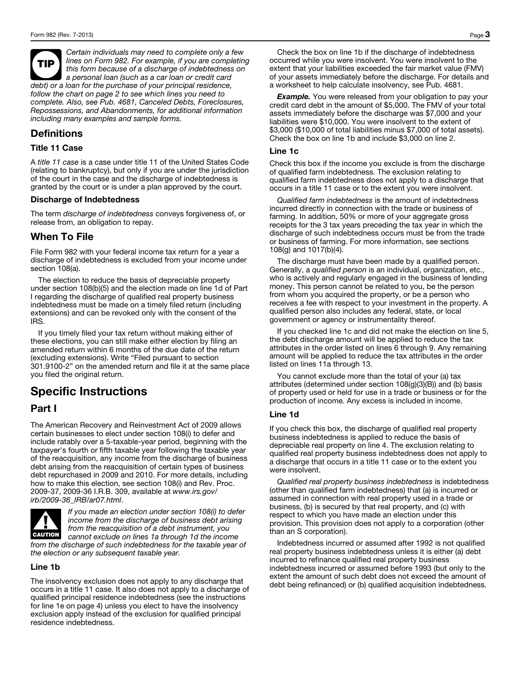TIP *Certain individuals may need to complete only a few lines on Form 982. For example, if you are completing this form because of a discharge of indebtedness on a personal loan (such as a car loan or credit card debt) or a loan for the purchase of your principal residence, follow the chart on page 2 to see which lines you need to complete. Also, see Pub. 4681, Canceled Debts, Foreclosures, Repossessions, and Abandonments, for additional information including many examples and sample forms.*

## Definitions

#### Title 11 Case

A *title 11 case* is a case under title 11 of the United States Code (relating to bankruptcy), but only if you are under the jurisdiction of the court in the case and the discharge of indebtedness is granted by the court or is under a plan approved by the court.

#### Discharge of Indebtedness

The term *discharge of indebtedness* conveys forgiveness of, or release from, an obligation to repay.

### When To File

File Form 982 with your federal income tax return for a year a discharge of indebtedness is excluded from your income under section 108(a).

The election to reduce the basis of depreciable property under section 108(b)(5) and the election made on line 1d of Part I regarding the discharge of qualified real property business indebtedness must be made on a timely filed return (including extensions) and can be revoked only with the consent of the IRS.

If you timely filed your tax return without making either of these elections, you can still make either election by filing an amended return within 6 months of the due date of the return (excluding extensions). Write "Filed pursuant to section 301.9100-2" on the amended return and file it at the same place you filed the original return.

# Specific Instructions

### Part I

The American Recovery and Reinvestment Act of 2009 allows certain businesses to elect under section 108(i) to defer and include ratably over a 5-taxable-year period, beginning with the taxpayer's fourth or fifth taxable year following the taxable year of the reacquisition, any income from the discharge of business debt arising from the reacquisition of certain types of business debt repurchased in 2009 and 2010. For more details, including how to make this election, see section 108(i) and Rev. Proc. 2009-37, 2009-36 I.R.B. 309, available at *www.irs.gov/ irb/2009-36\_IRB/ar07.html*.



*If you made an election under section 108(i) to defer income from the discharge of business debt arising from the reacquisition of a debt instrument, you cannot exclude on lines 1a through 1d the income from the discharge of such indebtedness for the taxable year of the election or any subsequent taxable year.*

#### Line 1b

The insolvency exclusion does not apply to any discharge that occurs in a title 11 case. It also does not apply to a discharge of qualified principal residence indebtedness (see the instructions for line 1e on page 4) unless you elect to have the insolvency exclusion apply instead of the exclusion for qualified principal residence indebtedness.

Check the box on line 1b if the discharge of indebtedness occurred while you were insolvent. You were insolvent to the extent that your liabilities exceeded the fair market value (FMV) of your assets immediately before the discharge. For details and a worksheet to help calculate insolvency, see Pub. 4681.

**Example.** You were released from your obligation to pay your credit card debt in the amount of \$5,000. The FMV of your total assets immediately before the discharge was \$7,000 and your liabilities were \$10,000. You were insolvent to the extent of \$3,000 (\$10,000 of total liabilities minus \$7,000 of total assets). Check the box on line 1b and include \$3,000 on line 2.

#### Line 1c

Check this box if the income you exclude is from the discharge of qualified farm indebtedness. The exclusion relating to qualified farm indebtedness does not apply to a discharge that occurs in a title 11 case or to the extent you were insolvent.

*Qualified farm indebtedness* is the amount of indebtedness incurred directly in connection with the trade or business of farming. In addition, 50% or more of your aggregate gross receipts for the 3 tax years preceding the tax year in which the discharge of such indebtedness occurs must be from the trade or business of farming. For more information, see sections 108(g) and 1017(b)(4).

The discharge must have been made by a qualified person. Generally, a *qualified person* is an individual, organization, etc., who is actively and regularly engaged in the business of lending money. This person cannot be related to you, be the person from whom you acquired the property, or be a person who receives a fee with respect to your investment in the property. A qualified person also includes any federal, state, or local government or agency or instrumentality thereof.

If you checked line 1c and did not make the election on line 5, the debt discharge amount will be applied to reduce the tax attributes in the order listed on lines 6 through 9. Any remaining amount will be applied to reduce the tax attributes in the order listed on lines 11a through 13.

You cannot exclude more than the total of your (a) tax attributes (determined under section 108(g)(3)(B)) and (b) basis of property used or held for use in a trade or business or for the production of income. Any excess is included in income.

#### Line 1d

If you check this box, the discharge of qualified real property business indebtedness is applied to reduce the basis of depreciable real property on line 4. The exclusion relating to qualified real property business indebtedness does not apply to a discharge that occurs in a title 11 case or to the extent you were insolvent.

*Qualified real property business indebtedness* is indebtedness (other than qualified farm indebtedness) that (a) is incurred or assumed in connection with real property used in a trade or business, (b) is secured by that real property, and (c) with respect to which you have made an election under this provision. This provision does not apply to a corporation (other than an S corporation).

Indebtedness incurred or assumed after 1992 is not qualified real property business indebtedness unless it is either (a) debt incurred to refinance qualified real property business indebtedness incurred or assumed before 1993 (but only to the extent the amount of such debt does not exceed the amount of debt being refinanced) or (b) qualified acquisition indebtedness.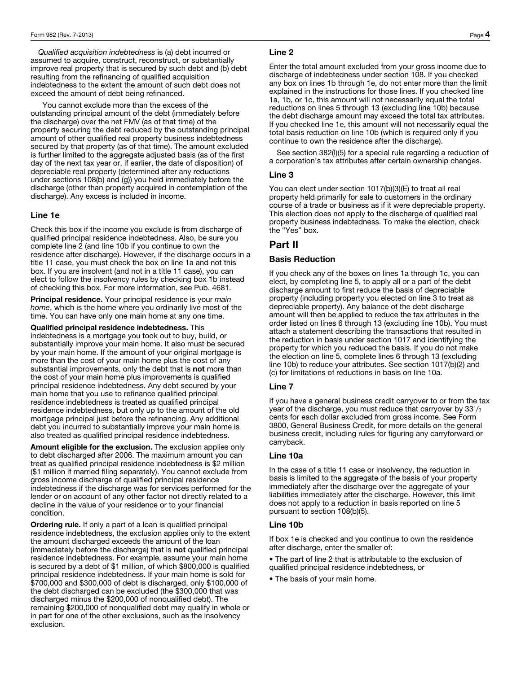*Qualified acquisition indebtedness* is (a) debt incurred or assumed to acquire, construct, reconstruct, or substantially improve real property that is secured by such debt and (b) debt resulting from the refinancing of qualified acquisition indebtedness to the extent the amount of such debt does not exceed the amount of debt being refinanced.

 You cannot exclude more than the excess of the outstanding principal amount of the debt (immediately before the discharge) over the net FMV (as of that time) of the property securing the debt reduced by the outstanding principal amount of other qualified real property business indebtedness secured by that property (as of that time). The amount excluded is further limited to the aggregate adjusted basis (as of the first day of the next tax year or, if earlier, the date of disposition) of depreciable real property (determined after any reductions under sections 108(b) and (g)) you held immediately before the discharge (other than property acquired in contemplation of the discharge). Any excess is included in income.

#### Line 1e

Check this box if the income you exclude is from discharge of qualified principal residence indebtedness. Also, be sure you complete line 2 (and line 10b if you continue to own the residence after discharge). However, if the discharge occurs in a title 11 case, you must check the box on line 1a and not this box. If you are insolvent (and not in a title 11 case), you can elect to follow the insolvency rules by checking box 1b instead of checking this box. For more information, see Pub. 4681.

Principal residence. Your principal residence is your *main home*, which is the home where you ordinarily live most of the time. You can have only one main home at any one time.

Qualified principal residence indebtedness. This indebtedness is a mortgage you took out to buy, build, or substantially improve your main home. It also must be secured by your main home. If the amount of your original mortgage is more than the cost of your main home plus the cost of any substantial improvements, only the debt that is **not** more than the cost of your main home plus improvements is qualified principal residence indebtedness. Any debt secured by your main home that you use to refinance qualified principal residence indebtedness is treated as qualified principal residence indebtedness, but only up to the amount of the old mortgage principal just before the refinancing. Any additional debt you incurred to substantially improve your main home is also treated as qualified principal residence indebtedness.

Amount eligible for the exclusion. The exclusion applies only to debt discharged after 2006. The maximum amount you can treat as qualified principal residence indebtedness is \$2 million (\$1 million if married filing separately). You cannot exclude from gross income discharge of qualified principal residence indebtedness if the discharge was for services performed for the lender or on account of any other factor not directly related to a decline in the value of your residence or to your financial condition.

**Ordering rule.** If only a part of a loan is qualified principal residence indebtedness, the exclusion applies only to the extent the amount discharged exceeds the amount of the loan (immediately before the discharge) that is not qualified principal residence indebtedness. For example, assume your main home is secured by a debt of \$1 million, of which \$800,000 is qualified principal residence indebtedness. If your main home is sold for \$700,000 and \$300,000 of debt is discharged, only \$100,000 of the debt discharged can be excluded (the \$300,000 that was discharged minus the \$200,000 of nonqualified debt). The remaining \$200,000 of nonqualified debt may qualify in whole or in part for one of the other exclusions, such as the insolvency exclusion.

#### Line 2

Enter the total amount excluded from your gross income due to discharge of indebtedness under section 108. If you checked any box on lines 1b through 1e, do not enter more than the limit explained in the instructions for those lines. If you checked line 1a, 1b, or 1c, this amount will not necessarily equal the total reductions on lines 5 through 13 (excluding line 10b) because the debt discharge amount may exceed the total tax attributes. If you checked line 1e, this amount will not necessarily equal the total basis reduction on line 10b (which is required only if you continue to own the residence after the discharge).

See section 382(l)(5) for a special rule regarding a reduction of a corporation's tax attributes after certain ownership changes.

#### Line 3

You can elect under section 1017(b)(3)(E) to treat all real property held primarily for sale to customers in the ordinary course of a trade or business as if it were depreciable property. This election does not apply to the discharge of qualified real property business indebtedness. To make the election, check the "Yes" box.

## Part II

#### Basis Reduction

If you check any of the boxes on lines 1a through 1c, you can elect, by completing line 5, to apply all or a part of the debt discharge amount to first reduce the basis of depreciable property (including property you elected on line 3 to treat as depreciable property). Any balance of the debt discharge amount will then be applied to reduce the tax attributes in the order listed on lines 6 through 13 (excluding line 10b). You must attach a statement describing the transactions that resulted in the reduction in basis under section 1017 and identifying the property for which you reduced the basis. If you do not make the election on line 5, complete lines 6 through 13 (excluding line 10b) to reduce your attributes. See section 1017(b)(2) and (c) for limitations of reductions in basis on line 10a.

### Line 7

If you have a general business credit carryover to or from the tax year of the discharge, you must reduce that carryover by 331/3 cents for each dollar excluded from gross income. See Form 3800, General Business Credit, for more details on the general business credit, including rules for figuring any carryforward or carryback.

#### Line 10a

In the case of a title 11 case or insolvency, the reduction in basis is limited to the aggregate of the basis of your property immediately after the discharge over the aggregate of your liabilities immediately after the discharge. However, this limit does not apply to a reduction in basis reported on line 5 pursuant to section 108(b)(5).

#### Line 10b

If box 1e is checked and you continue to own the residence after discharge, enter the smaller of:

• The part of line 2 that is attributable to the exclusion of qualified principal residence indebtedness, or

• The basis of your main home.